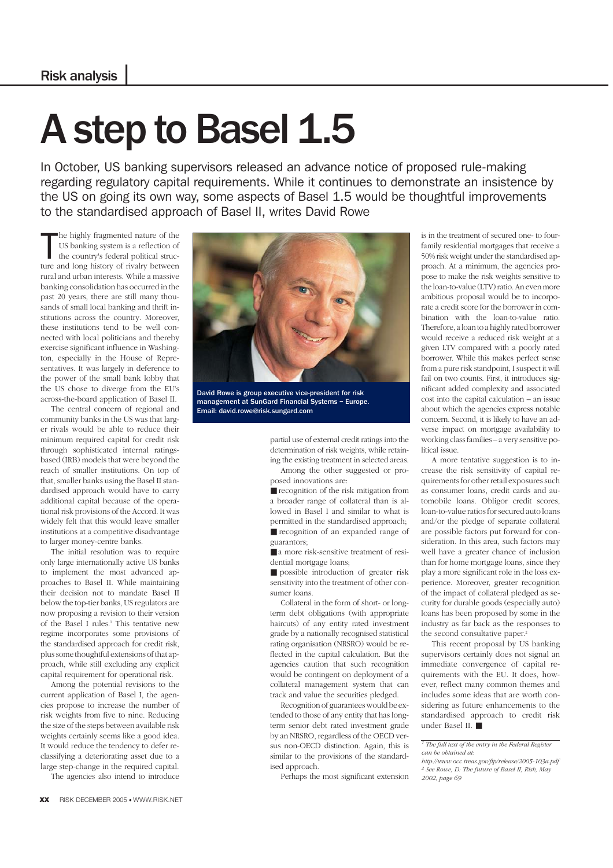## A step to Basel 1.5

In October, US banking supervisors released an advance notice of proposed rule-making regarding regulatory capital requirements. While it continues to demonstrate an insistence by the US on going its own way, some aspects of Basel 1.5 would be thoughtful improvements to the standardised approach of Basel II, writes David Rowe

The highly fragmented nature of the<br>US banking system is a reflection of<br>the country's federal political struc-<br>ture and long history of rivalry between he highly fragmented nature of the US banking system is a reflection of the country's federal political strucrural and urban interests. While a massive banking consolidation has occurred in the past 20 years, there are still many thousands of small local banking and thrift institutions across the country. Moreover, these institutions tend to be well connected with local politicians and thereby exercise significant influence in Washington, especially in the House of Representatives. It was largely in deference to the power of the small bank lobby that the US chose to diverge from the EU's across-the-board application of Basel II.

The central concern of regional and community banks in the US was that larger rivals would be able to reduce their minimum required capital for credit risk through sophisticated internal ratingsbased (IRB) models that were beyond the reach of smaller institutions. On top of that, smaller banks using the Basel II standardised approach would have to carry additional capital because of the operational risk provisions of the Accord. It was widely felt that this would leave smaller institutions at a competitive disadvantage to larger money-centre banks.

The initial resolution was to require only large internationally active US banks to implement the most advanced approaches to Basel II. While maintaining their decision not to mandate Basel II below the top-tier banks, US regulators are now proposing a revision to their version of the Basel I rules.<sup>1</sup> This tentative new regime incorporates some provisions of the standardised approach for credit risk, plus some thoughtful extensions of that approach, while still excluding any explicit capital requirement for operational risk.

Among the potential revisions to the current application of Basel I, the agencies propose to increase the number of risk weights from five to nine. Reducing the size of the steps between available risk weights certainly seems like a good idea. It would reduce the tendency to defer reclassifying a deteriorating asset due to a large step-change in the required capital.

The agencies also intend to introduce



David Rowe is group executive vice-president for risk management at SunGard Financial Systems – Europe. Email: david.rowe@risk.sungard.com

partial use of external credit ratings into the determination of risk weights, while retaining the existing treatment in selected areas. Among the other suggested or pro-

posed innovations are: ■ recognition of the risk mitigation from a broader range of collateral than is allowed in Basel I and similar to what is permitted in the standardised approach; ■ recognition of an expanded range of guarantors;

■ a more risk-sensitive treatment of residential mortgage loans;

■ possible introduction of greater risk sensitivity into the treatment of other consumer loans.

Collateral in the form of short- or longterm debt obligations (with appropriate haircuts) of any entity rated investment grade by a nationally recognised statistical rating organisation (NRSRO) would be reflected in the capital calculation. But the agencies caution that such recognition would be contingent on deployment of a collateral management system that can track and value the securities pledged.

Recognition of guarantees would be extended to those of any entity that has longterm senior debt rated investment grade by an NRSRO, regardless of the OECD versus non-OECD distinction. Again, this is similar to the provisions of the standardised approach.

Perhaps the most significant extension

is in the treatment of secured one- to fourfamily residential mortgages that receive a 50% risk weight under the standardised approach. At a minimum, the agencies propose to make the risk weights sensitive to the loan-to-value (LTV) ratio. An even more ambitious proposal would be to incorporate a credit score for the borrower in combination with the loan-to-value ratio. Therefore, a loan to a highly rated borrower would receive a reduced risk weight at a given LTV compared with a poorly rated borrower. While this makes perfect sense from a pure risk standpoint, I suspect it will fail on two counts. First, it introduces significant added complexity and associated cost into the capital calculation – an issue about which the agencies express notable concern. Second, it is likely to have an adverse impact on mortgage availability to working class families – a very sensitive political issue.

A more tentative suggestion is to increase the risk sensitivity of capital requirements for other retail exposures such as consumer loans, credit cards and automobile loans. Obligor credit scores, loan-to-value ratios for secured auto loans and/or the pledge of separate collateral are possible factors put forward for consideration. In this area, such factors may well have a greater chance of inclusion than for home mortgage loans, since they play a more significant role in the loss experience. Moreover, greater recognition of the impact of collateral pledged as security for durable goods (especially auto) loans has been proposed by some in the industry as far back as the responses to the second consultative paper.<sup>2</sup>

This recent proposal by US banking supervisors certainly does not signal an immediate convergence of capital requirements with the EU. It does, however, reflect many common themes and includes some ideas that are worth considering as future enhancements to the standardised approach to credit risk under Basel II. ■

*<sup>1</sup> The full text of the entry in the Federal Register can be obtained at:*

*http://www.occ.treas.gov/ftp/release/2005-103a.pdf <sup>2</sup> See Rowe, D: The future of Basel II, Risk, May 2002, page 69*